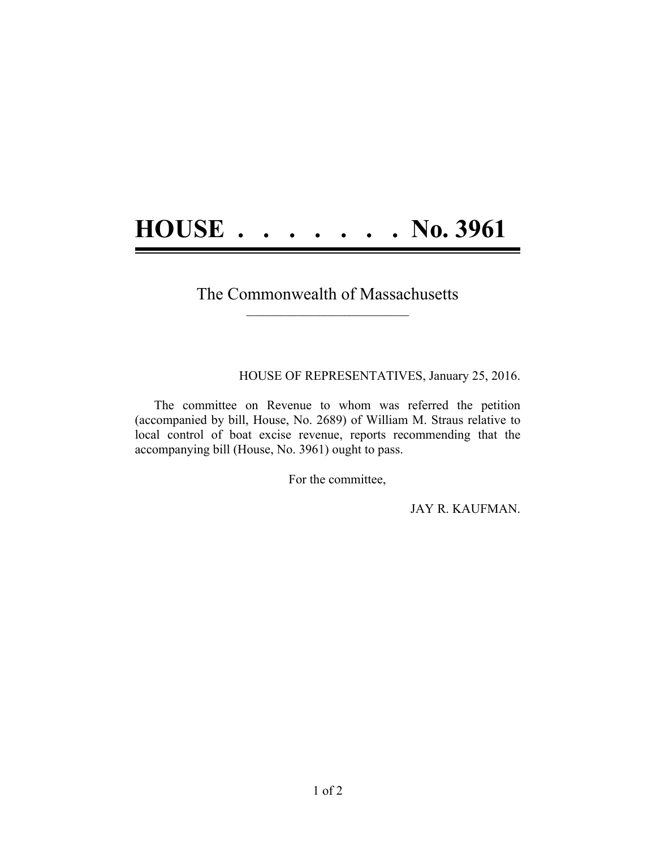## **HOUSE . . . . . . . No. 3961**

## The Commonwealth of Massachusetts  $\mathcal{L} = \{ \mathcal{L} \}$

HOUSE OF REPRESENTATIVES, January 25, 2016.

The committee on Revenue to whom was referred the petition (accompanied by bill, House, No. 2689) of William M. Straus relative to local control of boat excise revenue, reports recommending that the accompanying bill (House, No. 3961) ought to pass.

For the committee,

JAY R. KAUFMAN.